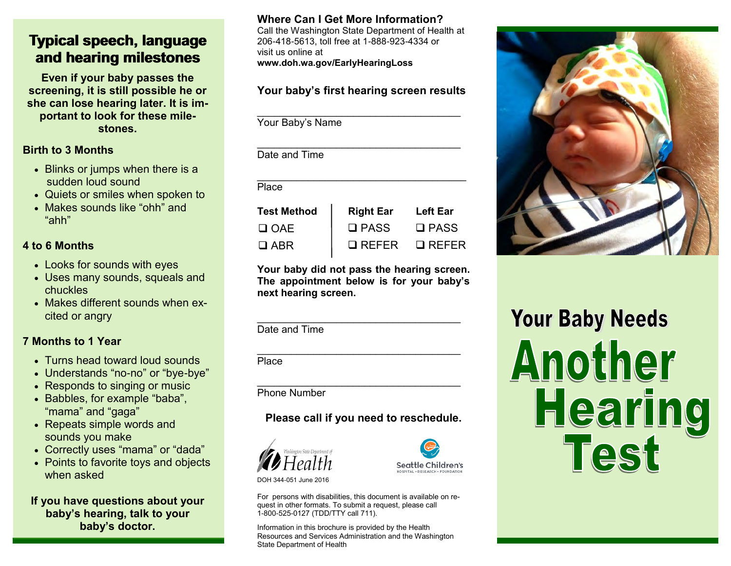# **Typical speech, language and hearing milestones**

**Even if your baby passes the screening, it is still possible he or she can lose hearing later. It is important to look for these milestones.**

#### **Birth to 3 Months**

- Blinks or jumps when there is a sudden loud sound
- Quiets or smiles when spoken to
- Makes sounds like "ohh" and "ahh"

## **4 to 6 Months**

- Looks for sounds with eyes
- Uses many sounds, squeals and chuckles
- Makes different sounds when excited or angry

## **7 Months to 1 Year**

- Turns head toward loud sounds
- Understands "no-no" or "bye-bye"
- Responds to singing or music
- Babbles, for example "baba", "mama" and "gaga"
- Repeats simple words and sounds you make
- Correctly uses "mama" or "dada"
- Points to favorite toys and objects when asked

**If you have questions about your baby's hearing, talk to your baby's doctor.**

### **Where Can I Get More Information?**

Call the Washington State Department of Health at 206-418-5613, toll free at 1-888-923-4334 or visit us online at **www.doh.wa.gov/EarlyHearingLoss**

## **Your baby's first hearing screen results**

 $\mathcal{L}_\mathcal{L}$  , which is a set of the set of the set of the set of the set of the set of the set of the set of the set of the set of the set of the set of the set of the set of the set of the set of the set of the set of

Your Baby's Name

| Date and Time      |                  |                 |
|--------------------|------------------|-----------------|
|                    |                  |                 |
| Place              |                  |                 |
| <b>Test Method</b> | <b>Right Ear</b> | <b>Left Ear</b> |
| $\Box$ OAE         | $\square$ PASS   | $\square$ PASS  |
| I ARR              | <b>RFFFR</b>     | $\sqcup$ RFFFR  |

**Your baby did not pass the hearing screen. The appointment below is for your baby's next hearing screen.**

 $\mathcal{L}_\text{max}$  , which is a set of the set of the set of the set of the set of the set of the set of the set of the set of the set of the set of the set of the set of the set of the set of the set of the set of the set of

Date and Time

 $\mathcal{L}_\text{max}$  , which is a set of the set of the set of the set of the set of the set of the set of the set of the set of the set of the set of the set of the set of the set of the set of the set of the set of the set of Place

\_\_\_\_\_\_\_\_\_\_\_\_\_\_\_\_\_\_\_\_\_\_\_\_\_\_\_\_\_\_\_\_\_\_\_\_ Phone Number

## **Please call if you need to reschedule.**





DOH 344-051 June 2016

For persons with disabilities, this document is available on request in other formats. To submit a request, please call 1-800-525-0127 (TDD/TTY call 711).

Information in this brochure is provided by the Health Resources and Services Administration and the Washington State Department of Health



# **Your Baby Needs** Another Hearing Test